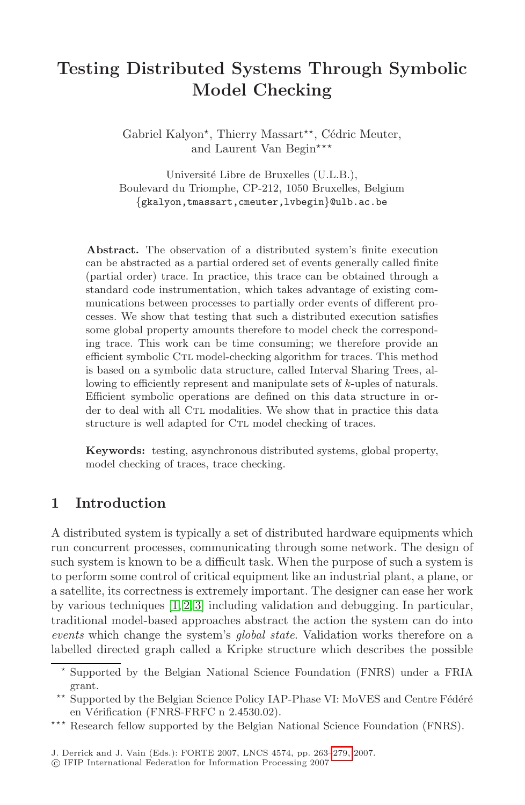# **Testing Distributed Systems Through Symbolic Model Checking**

Gabriel Kalyon<sup>\*</sup>, Thierry Massart<sup>\*\*</sup>, Cédric Meuter, and Laurent Van Begin\*\*\*

Université Libre de Bruxelles (U.L.B.), Boulevard du Triomphe, CP-212, 1050 Bruxelles, Belgium {gkalyon,tmassart,cmeuter,lvbegin}@ulb.ac.be

**Abstract.** The observation of a distributed system's finite execution can be abstracted as a partial ordered set of events generally called finite (partial order) trace. In practice, this trace can be obtained through a standard code instrumentation, which takes advantage of existing communications between processes to partially order events of different processes. We show that testing that such a distributed execution satisfies some global property amounts therefore to model check the corresponding trace. This work can be time consuming; we therefore provide an efficient symbolic CTL model-checking algorithm for traces. This method is based on a symbolic data structure, called Interval Sharing Trees, allowing to efficiently represent and manipulate sets of *k*-uples of naturals. Efficient symbolic operations are defined on this data structure in order to deal with all CTL modalities. We show that in practice this data structure is well adapted for CTL model checking of traces.

**Keywords:** testing, asynchronous distributed systems, global property, model checking of traces, trace checking.

### **1 [I](#page-14-0)[n](#page-14-1)[tr](#page-14-2)oduction**

A distributed system is typically a set of distributed hardware equipments which run concurrent processes, communicating through some network. The design of such system is known to be a difficult task. When the purpose of such a system is to perform some control of critical equipment like an industrial plant, a plane, or a satellite, its correctness is extremely important. The designer can ease her work by various techniques [1, 2, 3] including validation and debugging. In particular, traditional model-based approaches abstract the action the system can do into *events* which change the system's *[glob](#page-16-0)al state*. Validation works therefore on a labelled directed graph called a Kripke structure which describes the possible

<sup>-</sup> Supported by the Belgian National Science Foundation (FNRS) under a FRIA grant.

 $\star\star$ Supported by the Belgian Science Policy IAP-Phase VI: MoVES and Centre Fédéré en Vérification (FNRS-FRFC n 2.4530.02).

<sup>\*\*\*</sup> Research fellow supported by the Belgian National Science Foundation (FNRS).

J. Derrick and J. Vain (Eds.): FORTE 2007, LNCS 4574, pp. 263–279, 2007.

<sup>-</sup>c IFIP International Federation for Information Processing 2007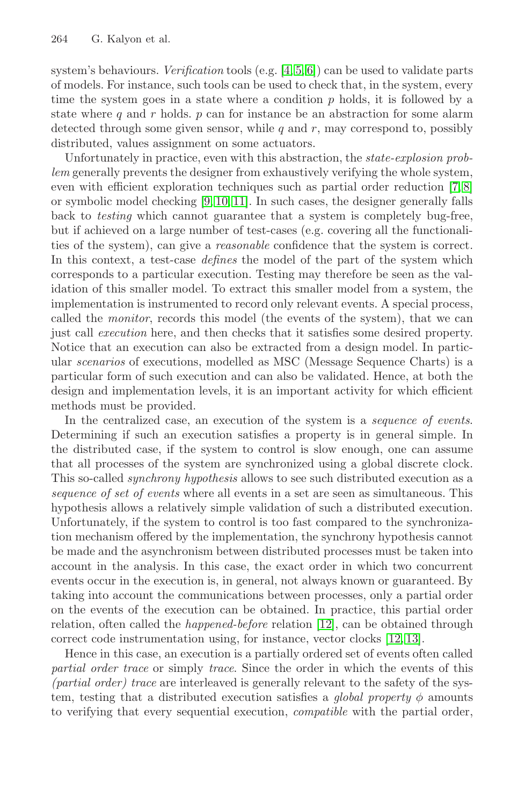system's behaviours. *Verification* tools (e.g. [4, 5, 6]) can [be](#page-14-3) [us](#page-14-4)ed to validate parts of models[. F](#page-14-5)[or i](#page-14-6)[nst](#page-14-7)ance, such tools can be used to check that, in the system, every time the system goes in a state where a condition  $p$  holds, it is followed by a state where q and r holds.  $p$  can for instance be an abstraction for some alarm detected through some given sensor, while  $q$  and  $r$ , may correspond to, possibly distributed, values assignment on some actuators.

Unfortunately in practice, even with this abstraction, the *state-explosion problem* generally prevents the designer from exhaustively verifying the whole system, even with efficient exploration techniques such as partial order reduction [7, 8] or symbolic model checking [9, 10, 11]. In such cases, the designer generally falls back to *testing* which cannot guarantee that a system is completely bug-free, but if achieved on a large number of test-cases (e.g. covering all the functionalities of the system), can give a *reasonable* confidence that the system is correct. In this context, a test-case *defines* the model of the part of the system which corresponds to a particular execution. Testing may therefore be seen as the validation of this smaller model. To extract this smaller model from a system, the implementation is instrumented to record only relevant events. A special process, called the *monitor*, records this model (the events of the system), that we can just call *execution* here, and then checks that it satisfies some desired property. Notice that an execution can also be extracted from a design model. In particular *scenarios* of executions, modelled as MSC (Message Sequence Charts) is a particular form of such execution and can also be validated. Hence, at both the design and implementation levels, it is an important activity for which efficient methods must be provided.

In the centralized case, an execution of the system is a *sequence of events*. Determining if such an execution satisfies a property is in general simple. In the distributed case, if the system to control is slow enough, one can assume that all processes of the system are synchronized using a global discrete clock. This so-called *synchrony hypothesis* allows to see such distributed execution as a *sequence of set of events* where all events in a set are seen as simultaneous. This hypothesis allows a relatively s[imp](#page-14-8)le validation of such a distributed execution. Unfortunately, if the system to control is to[o fa](#page-14-8)[st c](#page-14-9)ompared to the synchronization mechanism offered by the implementation, the synchrony hypothesis cannot be made and the asynchronism between distributed processes must be taken into account in the analysis. In this case, the exact order in which two concurrent events occur in the execution is, in general, not always known or guaranteed. By taking into account the communications between processes, only a partial order on the events of the execution can be obtained. In practice, this partial order relation, often called the *happened-before* relation [12], can be obtained through correct code instrumentation using, for instance, vector clocks [12, 13].

Hence in this case, an execution is a partially ordered set of events often called *partial order trace* or simply *trace*. Since the order in which the events of this *(partial order) trace* are interleaved is generally relevant to the safety of the system, testing that a distributed execution satisfies a *global property*  $\phi$  amounts to verifying that every sequential execution, *compatible* with the partial order,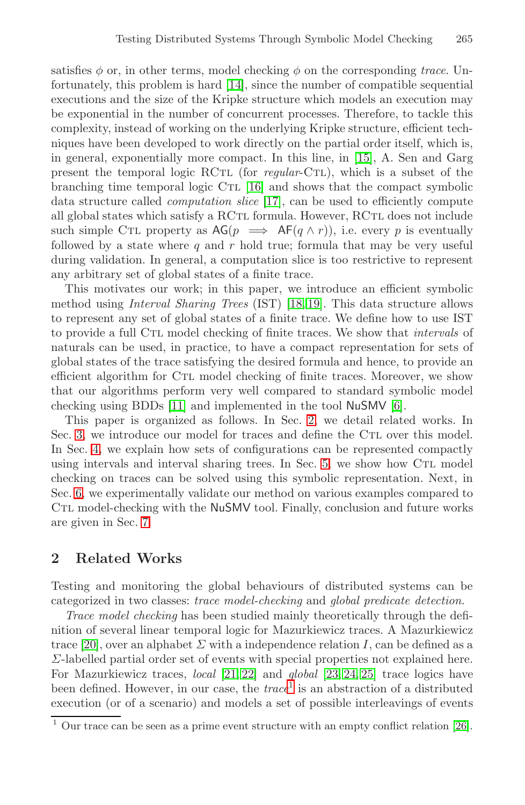satisfies  $\phi$  or, in o[the](#page-15-1)r terms, model checking  $\phi$  on the corresponding *trace*. Unfortunately, this prob[lem](#page-15-2) is hard [14], since the number of compatible sequential executions and the size of the Kripke structure which models an execution may be exponential in the number of concurrent processes. Therefore, to tackle this complexity, instead of working on the underlying Kripke structure, efficient techniques have been developed to work directly on the partial order itself, which is, in general, exponentially more compact. In this line, in [15], A. Sen and Garg present the temporal logic RCtl (for *regular*-Ctl), which is a subset of the branching time temporal [log](#page-15-3)[ic](#page-15-4) CTL [16] and shows that the compact symbolic data structure called *computation slice* [17], can be used to efficiently compute all global states which satisfy a RCTL formula. However, RCTL does not include such simple CTL property as  $AG(p \implies AF(q \wedge r))$ , i.e. every p is eventually followed by a state where  $q$  and  $r$  hold true; formula that may be very useful during validation. In general, a computation slice is too restrictive to represent any arbitrary set of global states of a finite trace.

[Thi](#page-14-7)s motivates our work; in this paper, [we](#page-14-10) introduce an efficient symbolic method using *Interval Shari[ng](#page-2-0) Trees* (IST) [18, 19]. This data structure allows to represent any set of global states of a finite trace. We define how to use IST to provide a full Ctl model checking of finite traces. We show that *intervals* of naturals can be used, in practi[ce,](#page-8-0) to have a compact representation for sets of global states of the trace satisfying the desired formula and hence, to provide an efficient algorithm for Ctl model checking of finite traces. Moreover, we show that our algorithms perform very well compared to standard symbolic model checking using BDDs [11] and implemented in the tool NuSMV [6].

<span id="page-2-0"></span>This paper is organized as follows. In Sec. 2, we detail related works. In Sec. 3, we introduce our model for traces and define the CTL over this model. In Sec. 4, we explain how sets of configurations can be represented compactly using intervals and interval sharing trees. In Sec. 5, we show how CTL model checking on traces can be solved using this symbolic representation. Next, in Sec. 6, we experimentally validate our method on various examples compared to CTL model-checking with the NuSMV tool. Finally, conclusion and future works are given in Sec. 7.

### **2 Relate[d](#page-15-5) [Wo](#page-15-6)rks**

Testing and monitoring [th](#page-2-1)e global behaviours of distributed systems can be categorized in two classes: *trace model-checking* and *global predicate detection*.

<span id="page-2-1"></span>*Trace model checking* has been studied mainly theoret[ical](#page-15-7)ly through the definition of several linear temporal logic for Mazurkiewicz traces. A Mazurkiewicz trace [20], over an alphabet  $\Sigma$  with a independence relation I, can be defined as a Σ-labelled partial order set of events with special properties not explained here. For Mazurkiewicz traces, *local* [21, 22] and *global* [23, 24, 25] trace logics have been defined. However, in our case, the *trace*<sup>1</sup> is an abstraction of a distributed execution (or of a scenario) and models a set of possible interleavings of events

 $\overline{1}$  Our trace can be seen as a prime event structure with an empty conflict relation [26].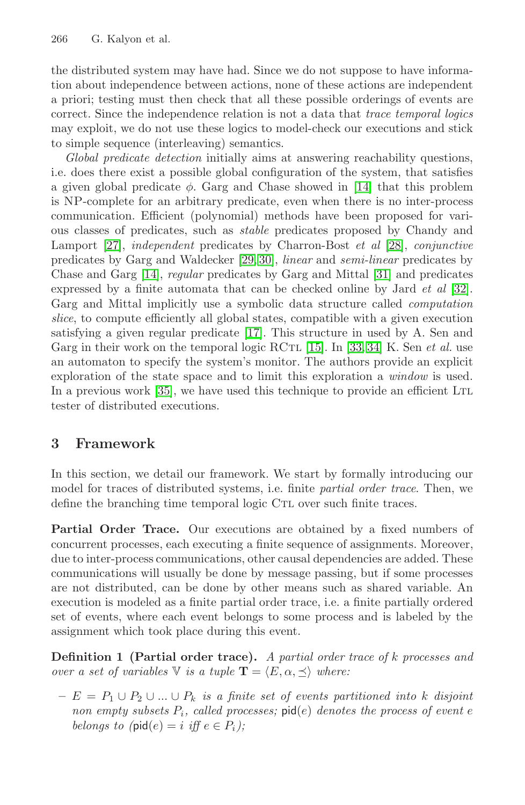the distributed system may have had. [Sin](#page-15-8)ce we do not suppose to have information about independence between actions, none of these actions are independent a priori; testing must then check that all these possible orderings of events are correct. Since the independence relation is not a data that *trace temporal logics* may exploit, we do not use these logics to m[ode](#page-15-9)l-check our executions and stick to simple sequen[ce](#page-15-10) [\(int](#page-15-11)erleaving) semantics.

*Global predicate detection* initially aim[s at](#page-15-12) answering reachability questions, [i.](#page-15-8)e. does there exist a possible global configuration of th[e sy](#page-15-13)stem, that satisfies a given global predicate  $\phi$ . Garg and Chase showed in [14] that this problem is NP-complete for an arbitrary predicate, even when there is no inter-process communication. [Effic](#page-15-2)ient (polynomial) methods have been proposed for various classes of predicates, su[ch](#page-15-0) as *st[abl](#page-15-14)e* [p](#page-15-15)redicates proposed by Chandy and Lamport [27], *independent* predicates by Charron-Bost *et al* [28], *conjunctive* predicates by Garg and Waldecker [29, 30], *linear* and *semi-linear* predicates by [Cha](#page-16-1)se and Garg [14], *regular* predicates by Garg and Mittal [31] and predicates expressed by a finite automata that can be checked online by Jard *et al* [32]. Garg and Mittal implicitly use a symbolic data structure called *computation slice*, to compute efficiently all global states, compatible with a given execution satisfying a given regular predicate [17]. This structure in used by A. Sen and Garg in their work on the temporal logic RCTL [15]. In [33, 34] K. Sen *et al.* use an automaton to specify the system's monitor. The authors provide an explicit exploration of the state space and to limit this exploration a *window* is used. In a previous work [35], we have used this technique to provide an efficient LTL tester of distributed executions.

# **3 Framework**

In this section, we detail our framework. We start by formally introducing our model for traces of distributed systems, i.e. finite *partial order trace*. Then, we define the branching time temporal logic CTL over such finite traces.

<span id="page-3-0"></span>**Partial Order Trace.** Our executions are obtained by a fixed numbers of concurrent processes, each executing a finite sequence of assignments. Moreover, due to inter-process communications, other causal dependencies are added. These communications will usually be done by message passing, but if some processes are not distributed, can be done by other means such as shared variable. An execution is modeled as a finite partial order trace, i.e. a finite partially ordered set of events, where each event belongs to some process and is labeled by the assignment which took place during this event.

**Definition 1 (Partial order trace).** *A partial order trace of* k *processes and over a set of variables*  $\nabla$  *is a tuple*  $\mathbf{T} = \langle E, \alpha, \prec \rangle$  *where:* 

**–** E = P<sup>1</sup> ∪ P<sup>2</sup> ∪ ... ∪ P<sup>k</sup> *is a finite set of events partitioned into* k *disjoint non empty subsets*  $P_i$ *, called processes;* pid(e) *denotes the process of event* e *belongs to (*pid(*e*) = *i iff*  $e \in P_i$ *)*;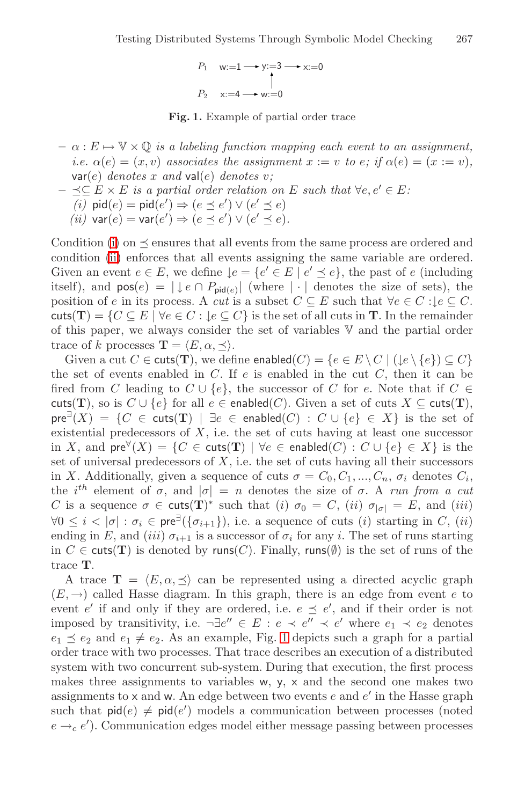

**Fig. 1.** Example of partial order trace

- <span id="page-4-1"></span><span id="page-4-0"></span> $-\alpha: E \mapsto \mathbb{V} \times \mathbb{Q}$  *is a labeling function mapping each event to an assignment, i.e.*  $\alpha(e) = (x, v)$  *associates the assignment*  $x := v$  *to e; if*  $\alpha(e) = (x := v)$ *,* var(e) *denotes* x *and* val(e) *denotes* v*;*
- $\prec$ ⊂  $E \times E$  *is a partial order relation on*  $E$  *such that*  $\forall e, e' \in E$ *: (i)*  $\text{pid}(e) = \text{pid}(e') \Rightarrow (e \leq e') \vee (e' \leq e)$ *(ii)*  $\text{var}(e) = \text{var}(e') \Rightarrow (e \preceq e') \vee (e' \preceq e).$

Condition (i) on  $\preceq$  ensures that all events from the same process are ordered and condition (ii) enforces that all events assigning the same variable are ordered. Given an event  $e \in E$ , we define  $\downarrow e = \{e' \in E \mid e' \preceq e\}$ , the past of e (including itself), and  $pos(e) = |\downarrow e \cap P_{pid(e)}|$  (where  $|\cdot|$  denotes the size of sets), the position of e in its process. A *cut* is a subset  $C \subseteq E$  such that  $\forall e \in C : \mathcal{E} \subseteq C$ . cuts(T) =  $\{C \subseteq E \mid \forall e \in C : \exists e \subseteq C\}$  is the set of all cuts in **T**. In the remainder of this paper, we always consider the set of variables V and the partial order trace of k processes  $\mathbf{T} = \langle E, \alpha, \prec \rangle$ .

Given a cut  $C \in \text{cuts}(\mathbf{T})$ , we define enabled $(C) = \{e \in E \setminus C \mid (\downarrow e \setminus \{e\}) \subseteq C\}$ the set of events enabled in  $C$ . If  $e$  is enabled in the cut  $C$ , then it can be fired from C leading to  $C \cup \{e\}$ , the successor of C for e. Note that if  $C \in$ cuts(**T**), so is  $C \cup \{e\}$  for all  $e \in$  enabled(*C*). Given a set of cuts  $X \subseteq$  cuts(**T**), pre<sup>∃</sup>(X) = {C ∈ cuts(**T**) | ∃e ∈ enabled(C) : C ∪ {e} ∈ X} is the set of existential predecessors of  $X$ , i.e. the set of cuts having at least one successor in X, and  $pre^{\forall}(X) = \{C \in \text{cuts}(\mathbf{T}) \mid \forall e \in \text{enabeled}(C) : C \cup \{e\} \in X\}$  is the set of universal predecessors of  $X$ , i.e. the set of cuts having all their successors in X. Additionally, given a sequence of cuts  $\sigma = C_0, C_1, ..., C_n, \sigma_i$  denotes  $C_i$ , the i<sup>th</sup> element of  $\sigma$ , and  $|\sigma| = n$  denotes the size of  $\sigma$ . A *run from a cut* C is a sequence  $\sigma \in \text{cuts}(\mathbf{T})^*$  such that (i)  $\sigma_0 = C$ , (ii)  $\sigma_{|\sigma|} = E$ , and (iii)  $\forall 0 \leq i < |\sigma| : \sigma_i \in \text{pre}^{\exists}(\{\sigma_{i+1}\}),$  $\forall 0 \leq i < |\sigma| : \sigma_i \in \text{pre}^{\exists}(\{\sigma_{i+1}\}),$  $\forall 0 \leq i < |\sigma| : \sigma_i \in \text{pre}^{\exists}(\{\sigma_{i+1}\}),$  i.e. a sequence of cuts (i) starting in C, (ii) ending in E, and (iii)  $\sigma_{i+1}$  is a successor of  $\sigma_i$  for any i. The set of runs starting in  $C \in \text{cuts}(\mathbf{T})$  is denoted by runs( $C$ ). Finally, runs( $\emptyset$ ) is the set of runs of the trace **T**.

A trace  $\mathbf{T} = \langle E, \alpha, \preceq \rangle$  can be represented using a directed acyclic graph  $(E, \rightarrow)$  called Hasse diagram. In this graph, there is an edge from event e to event e' if and only if they are ordered, i.e.  $e \preceq e'$ , and if their order is not imposed by transitivity, i.e.  $\neg \exists e'' \in E : e \prec e'' \prec e'$  where  $e_1 \prec e_2$  denotes  $e_1 \preceq e_2$  and  $e_1 \neq e_2$ . As an example, Fig. 1 depicts such a graph for a partial order trace with two processes. That trace describes an execution of a distributed system with two concurrent sub-system. During that execution, the first process makes three assignments to variables w, y, x and the second one makes two assignments to  $\times$  and  $\times$ . An edge between two events e and e' in the Hasse graph such that  $\mathsf{pid}(e) \neq \mathsf{pid}(e')$  models a communication between processes (noted  $e \rightarrow_c e'$ ). Communication edges model either message passing between processes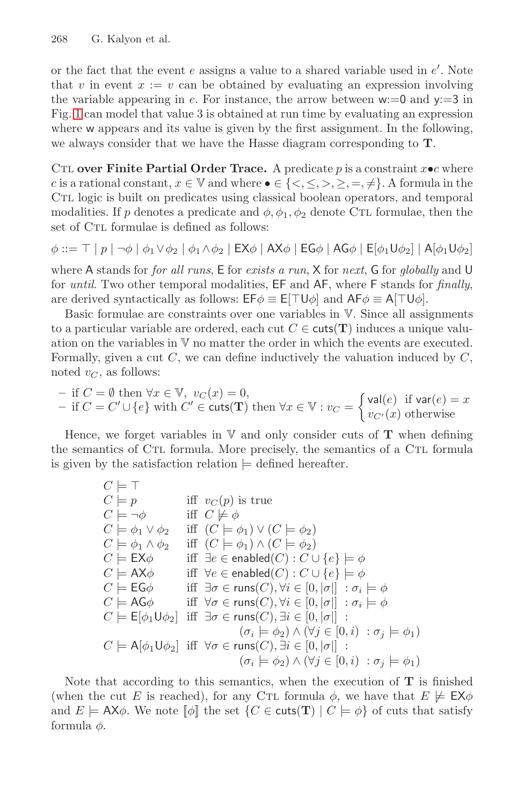or the fact that the event  $e$  assigns a value to a shared variable used in  $e'$ . Note that v in event  $x := v$  can be obtained by evaluating an expression involving the variable appearing in e. For instance, the arrow between  $w:=0$  and  $y:=3$  in Fig. 1 can model that value 3 is obtained at run time by evaluating an expression where w appears and its value is given by the first assignment. In the following, we always consider that we have the Hasse diagram corresponding to **T**.

CTL **over Finite Partial Order Trace.** A predicate p is a constraint  $x \cdot c$  where c is a rational constant,  $x \in \mathbb{V}$  and where  $\bullet \in \{<,\leq,>,\geq,=,\neq\}.$  A formula in the Ctl logic is built on predicates using classical boolean operators, and temporal modalities. If p denotes a predicate and  $\phi$ ,  $\phi_1$ ,  $\phi_2$  denote CTL formulae, then the set of CTL formulae is defined as follows:

 $\phi ::= \top | p | \neg \phi | \phi_1 \vee \phi_2 | \phi_1 \wedge \phi_2 | EX\phi | AX\phi | EG\phi | AG\phi | E[\phi_1 \cup \phi_2] | A[\phi_1 \cup \phi_2]$ where A stands for *for all runs*, E for *exists a run*, X for *next*, G for *globally* and U for *until*. Two other temporal modalities, EF and AF, where F stands for *finally*,

are derived syntactically as follows:  $E\mathsf{F}\phi \equiv \mathsf{E}[\top \mathsf{U}\phi]$  and  $\mathsf{AF}\phi \equiv \mathsf{A}[\top \mathsf{U}\phi]$ .

Basic formulae are constraints over one variables in V. Since all assignments to a particular variable are ordered, each cut  $C \in \text{cuts}(\mathbf{T})$  induces a unique valuation on the variables in V no matter the order in which the events are executed. Formally, given a cut  $C$ , we can define inductively the valuation induced by  $C$ , noted  $v_C$ , as follows:

- if 
$$
C = \emptyset
$$
 then  $\forall x \in \mathbb{V}$ ,  $v_C(x) = 0$ ,  
\n- if  $C = C' \cup \{e\}$  with  $C' \in \text{cuts}(\mathbf{T})$  then  $\forall x \in \mathbb{V}$  :  $v_C = \begin{cases} \text{val}(e) & \text{if } \text{var}(e) = x \\ v_{C'}(x) & \text{otherwise} \end{cases}$ 

Hence, we forget variables in  $V$  and only consider cuts of  $T$  when defining the semantics of CTL formula. More precisely, the semantics of a CTL formula is given by the satisfaction relation  $\models$  defined hereafter.

$$
C \models \top
$$
  
\n
$$
C \models p
$$
 iff  $v_C(p)$  is true  
\n
$$
C \models \phi_1 \lor \phi_2
$$
 iff  $(C \models \phi_1) \lor (C \models \phi_2)$   
\n
$$
C \models \phi_1 \land \phi_2
$$
 iff  $(C \models \phi_1) \land (C \models \phi_2)$   
\n
$$
C \models \mathsf{EX}\phi
$$
 iff  $\exists e \in \mathsf{enabeled}(C) : C \cup \{e\} \models \phi$   
\n
$$
C \models \mathsf{EX}\phi
$$
 iff  $\exists e \in \mathsf{enabeled}(C) : C \cup \{e\} \models \phi$   
\n
$$
C \models \mathsf{EG}\phi
$$
 iff  $\exists \sigma \in \mathsf{runs}(C), \forall i \in [0, |\sigma|] : \sigma_i \models \phi$   
\n
$$
C \models \mathsf{AG}\phi
$$
 iff  $\forall \sigma \in \mathsf{runs}(C), \forall i \in [0, |\sigma|] : \sigma_i \models \phi$   
\n
$$
C \models \mathsf{E}[\phi_1 \mathsf{U}\phi_2]
$$
 iff  $\exists \sigma \in \mathsf{runs}(C), \exists i \in [0, |\sigma|] : \sigma_i \models \phi$   
\n
$$
C \models \mathsf{A}[\phi_1 \mathsf{U}\phi_2]
$$
 iff  $\forall \sigma \in \mathsf{runs}(C), \exists i \in [0, |\sigma|] : \phi_i \models \phi_1$   
\n
$$
(\sigma_i \models \phi_2) \land (\forall j \in [0, i) : \sigma_j \models \phi_1)
$$

Note that according to this semantics, when the execution of **T** is finished (when the cut E is reached), for any C<sub>TL</sub> formula  $\phi$ , we have that  $E \not\models EX\phi$ and  $E \models AX\phi$ . We note  $\llbracket \phi \rrbracket$  the set  $\{C \in \text{cuts}(\mathbf{T}) \mid C \models \phi\}$  of cuts that satisfy formula  $\phi$ .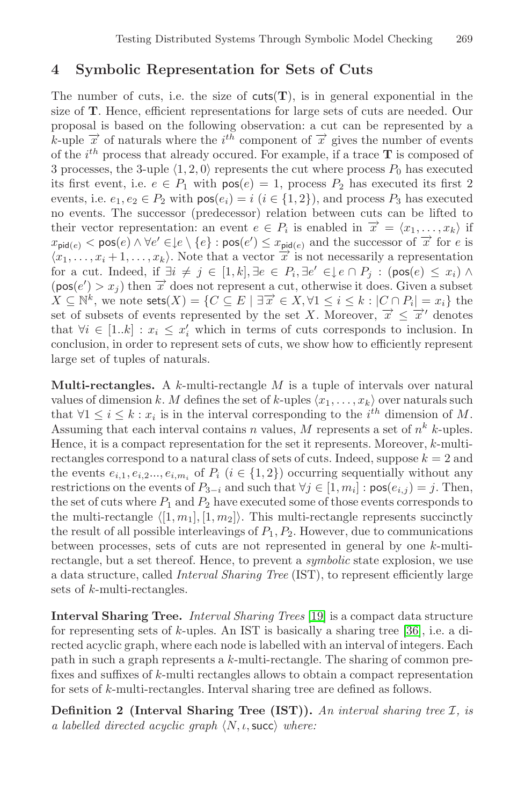### **4 Symbolic Representation for Sets of Cuts**

The number of cuts, i.e. the size of  $cuts(T)$ , is in general exponential in the size of **T**. Hence, efficient representations for large sets of cuts are needed. Our proposal is based on the following observation: a cut can be represented by a k-uple  $\vec{x}$  of naturals where the  $i^{th}$  component of  $\vec{x}$  gives the number of events of the i<sup>th</sup> process that already occured. For example, if a trace **T** is composed of 3 processes, the 3-uple  $\langle 1, 2, 0 \rangle$  represents the cut where process  $P_0$  has executed its first event, i.e.  $e \in P_1$  with  $pos(e) = 1$ , process  $P_2$  has executed its first 2 events, i.e.  $e_1, e_2 \in P_2$  with  $pos(e_i) = i$   $(i \in \{1, 2\})$ , and process  $P_3$  has executed no events. The successor (predecessor) relation between cuts can be lifted to their vector representation: an event  $e \in P_i$  is enabled in  $\overrightarrow{x} = \langle x_1, \ldots, x_k \rangle$  if  $x_{\text{pid}(e)} < \text{pos}(e) \land \forall e' \in \{e\}$  :  $\text{pos}(e') \leq x_{\text{pid}(e)}$  and the successor of  $\vec{x}$  for e is  $\langle x_1,\ldots,x_i+1,\ldots,x_k\rangle$ . Note that a vector  $\overline{x}$  is not necessarily a representation for a cut. Indeed, if  $\exists i \neq j \in [1, k], \exists e \in P_i, \exists e' \in \downarrow e \cap P_j : (pos(e) \leq x_i) \land$  $(\text{pos}(e') > x_j)$  then  $\vec{x}$  does not represent a cut, otherwise it does. Given a subset  $X \subseteq \mathbb{N}^k$ , we note sets $(X) = \{C \subseteq E \mid \exists \overrightarrow{x} \in X, \forall 1 \leq i \leq k : |C \cap P_i| = x_i\}$  the set of subsets of events represented by the set X. Moreover,  $\overrightarrow{x} \leq \overrightarrow{x}'$  denotes that  $\forall i \in [1..k] : x_i \leq x'_i$  which in terms of cuts corresponds to inclusion. In conclusion, in order to represent sets of cuts, we show how to efficiently represent large set of tuples of naturals.

**Multi-rectangles.** A k-multi-rectangle M is a tuple of intervals over natural values of dimension k. M defines the set of k-uples  $\langle x_1,\ldots,x_k\rangle$  over naturals such that  $\forall 1 \leq i \leq k : x_i$  is in the interval corresponding to the  $i^{th}$  dimension of M. Assuming that each interval contains n values, M represents a set of  $n^k$  k-uples. Hence, it is a compact representation for the set it represents. Moreover,  $k$ -multirectangles correspond to a natural class of sets of cuts. Indeed, suppose  $k = 2$  and the events  $e_{i,1}, e_{i,2} \dots, e_{i,m_i}$  of  $P_i$   $(i \in \{1,2\})$  occurring sequentially without any restrictions on the events of  $P_{3-i}$  and such that  $\forall j \in [1, m_i] : \text{pos}(e_{i,j}) = j$ . Then, the set of cuts where  $P_1$  and  $P_2$  [ha](#page-15-4)ve executed some of those events corresponds to the mult[i-re](#page-16-2)ctangle  $\langle [1, m_1], [1, m_2] \rangle$ . This multi-rectangle represents succinctly the result of all possible interleavings of  $P_1, P_2$ . However, due to communications between processes, sets of cuts are not represented in general by one k-multirectangle, but a set thereof. Hence, to prevent a *symbolic* state explosion, we use a data structure, called *Interval Sharing Tree* (IST), to represent efficiently large sets of k-multi-rectangles.

**Interval Sharing Tree.** *Interval Sharing Trees* [19] is a compact data structure for representing sets of  $k$ -uples. An IST is basically a sharing tree [36], i.e. a directed acyclic graph, where each node is labelled with an interval of integers. Each path in such a graph represents a k-multi-rectangle. The sharing of common prefixes and suffixes of k-multi rectangles allows to obtain a compact representation for sets of k-multi-rectangles. Interval sharing tree are defined as follows.

**Definition 2 (Interval Sharing Tree (IST)).** *An interval sharing tree* I*, is a labelled directed acyclic graph*  $\langle N, \iota, \mathsf{succ} \rangle$  where: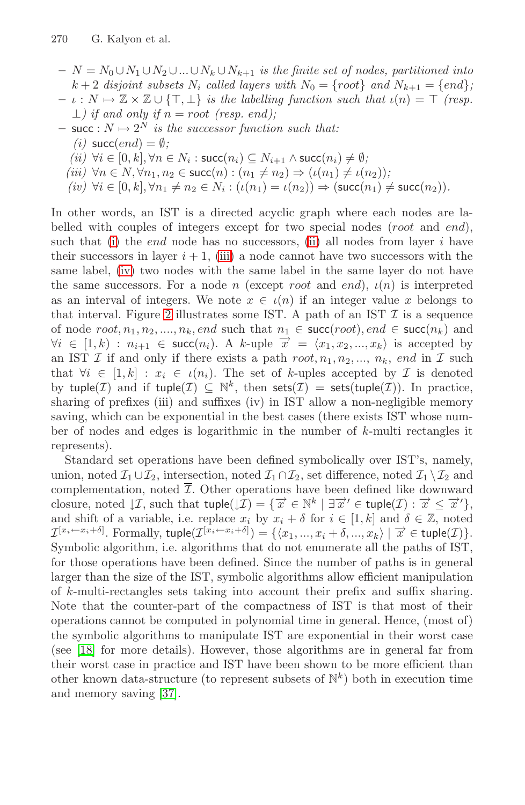- <span id="page-7-1"></span><span id="page-7-0"></span> $- N = N_0 ∪ N_1 ∪ N_2 ∪ ... ∪ N_k ∪ N_{k+1}$  *is the finite set of nodes, partitioned into*  $k + 2$  *disjoint subsets*  $N_i$  *called layers with*  $N_0 = \{root\}$  *and*  $N_{k+1} = \{end\}$ ;
- $\iota : N \mapsto \mathbb{Z} \times \mathbb{Z} \cup \{\top, \bot\}$  *is the labelling function such that*  $\iota(n) = \top$  *(resp.*) ⊥*) if and only if* n = root *(resp.* end*);*
- $-$  succ :  $N \mapsto 2^N$  *is the suc[ces](#page-7-0)sor function such that:* 
	- $(i)$  succ(*[en](#page-7-1)d*) =  $\emptyset$ *;*
	- $(iii)$   $\forall i \in [0, k], \forall n \in N_i$ : succ $(n_i)$  ⊆  $N_{i+1}$  ∧ succ $(n_i) \neq \emptyset$ ;
	- $(iii)$   $\forall n \in \mathbb{N}, \forall n_1, n_2 \in \text{succ}(n) : (n_1 \neq n_2) \Rightarrow (\iota(n_1) \neq \iota(n_2))$ ;
	- $(iv)$   $\forall i \in [0, k], \forall n_1 \neq n_2 \in N_i : (\iota(n_1) = \iota(n_2)) \Rightarrow (\text{succ}(n_1) \neq \text{succ}(n_2)).$

In [o](#page-9-0)ther words, an IST is a directed acyclic graph where each nodes are labelled with couples of integers except for two special nodes (root and end), such that (i) the *end* node has no successors, (ii) all nodes from layer  $i$  have their successors in layer  $i + 1$ , (iii) a node cannot have two successors with the same label, (iv) two nodes with the same label in the same layer do not have the same successors. For a node n (except root and end),  $\iota(n)$  is interpreted as an interval of integers. We note  $x \in \iota(n)$  if an integer value x belongs to that interval. Figure 2 illustrates some IST. A path of an IST  $\mathcal I$  is a sequence of node  $root, n_1, n_2, \ldots, n_k, end$  such that  $n_1 \in succ(root), end \in succ(n_k)$  and  $\forall i \in [1, k) : n_{i+1} \in \text{succ}(n_i)$ . A k-uple  $\overrightarrow{x} = \langle x_1, x_2, ..., x_k \rangle$  is accepted by an IST  $\mathcal I$  if and only if there exists a path  $root, n_1, n_2, ..., n_k$ , end in  $\mathcal I$  such that  $\forall i \in [1, k] : x_i \in \iota(n_i)$ . The set of k-uples accepted by  $\mathcal I$  is denoted by tuple(*I*) and if tuple(*I*)  $\subseteq \mathbb{N}^k$ , then  $\mathsf{sets}(\mathcal{I}) = \mathsf{sets}(\mathsf{tuple}(\mathcal{I}))$ . In practice, sharing of prefixes (iii) and suffixes (iv) in IST allow a non-negligible memory saving, which can be exponential in the best cases (there exists IST whose number of nodes and edges is logarithmic in the number of  $k$ -multi rectangles it represents).

Standard set operations have been defined symbolically over IST's, namely, union, noted  $\mathcal{I}_1 \cup \mathcal{I}_2$ , intersection, noted  $\mathcal{I}_1 \cap \mathcal{I}_2$ , set difference, noted  $\mathcal{I}_1 \setminus \mathcal{I}_2$  and complementation, noted  $\overline{\mathcal{I}}$ . Other operations have been defined like downward closure, noted  $\downarrow \mathcal{I}$ , such that tuple $(\downarrow \mathcal{I}) = \{ \overrightarrow{x} \in \mathbb{N}^k \mid \exists \overrightarrow{x}' \in \mathsf{tuple}(\mathcal{I}) : \overrightarrow{x} \leq \overrightarrow{x}' \}$ , and shift of a variable, i.e. replace  $x_i$  by  $x_i + \delta$  for  $i \in [1, k]$  and  $\delta \in \mathbb{Z}$ , noted  $\mathcal{I}^{[x_i \leftarrow x_i + \delta]}$ . Formally,  $\text{tuple}(\mathcal{I}^{[x_i \leftarrow x_i + \delta]}) = {\langle x_1, ..., x_i + \delta, ..., x_k \rangle \mid \vec{x} \in \text{tuple}(\mathcal{I})}$ . Symbolic algorithm, i.e. algorithms that do not enumerate all the paths of IST, for those operations have been defined. Since the number of paths is in general l[arge](#page-16-3)r than the size of the IST, symbolic algorithms allow efficient manipulation of k-multi-rectangles sets taking into account their prefix and suffix sharing. Note that the counter-part of the compactness of IST is that most of their operations cannot be computed in polynomial time in general. Hence, (most of) the symbolic algorithms to manipulate IST are exponential in their worst case (see [18] for more details). However, those algorithms are in general far from their worst case in practice and IST have been shown to be more efficient than other known data-structure (to represent subsets of  $\mathbb{N}^k$ ) both in execution time and memory saving [37].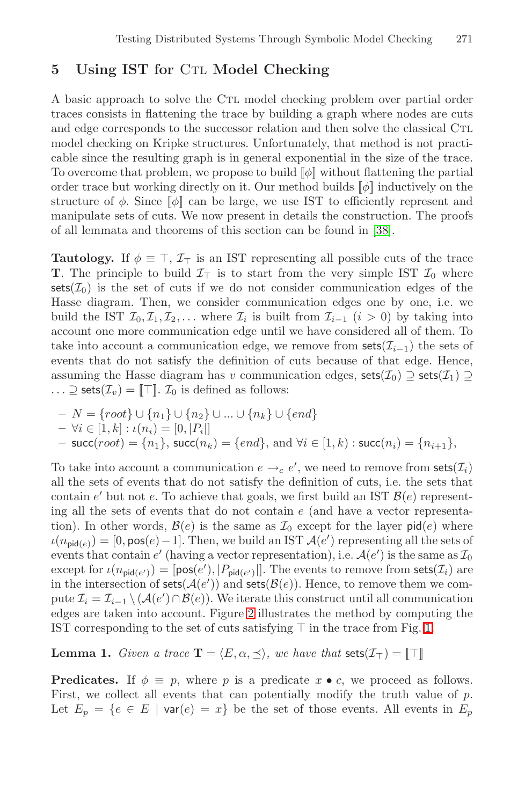# <span id="page-8-0"></span>**5** Using IST for CTL Model Checking

A basic approach to solve the Ctl model checking problem over partial order traces consists in flattening the trace by [buil](#page-16-4)ding a graph where nodes are cuts and edge corresponds to the successor relation and then solve the classical CTL model checking on Kripke structures. Unfortunately, that method is not practicable since the resulting graph is in general exponential in the size of the trace. To overcome that problem, we propose to build  $[\![\phi]\!]$  without flattening the partial order trace but working directly on it. Our method builds  $[\![\phi]\!]$  inductively on the structure of  $\phi$ . Since  $\llbracket \phi \rrbracket$  can be large, we use IST to efficiently represent and manipulate sets of cuts. We now present in details the construction. The proofs of all lemmata and theorems of this section can be found in [38].

**Tautology.** If  $\phi \equiv \top$ ,  $\mathcal{I}_{\top}$  is an IST representing all possible cuts of the trace **T**. The principle to build  $\mathcal{I}_{\top}$  is to start from the very simple IST  $\mathcal{I}_0$  where sets( $\mathcal{I}_0$ ) is the set of cuts if we do not consider communication edges of the Hasse diagram. Then, we consider communication edges one by one, i.e. we build the IST  $\mathcal{I}_0, \mathcal{I}_1, \mathcal{I}_2, \ldots$  where  $\mathcal{I}_i$  is built from  $\mathcal{I}_{i-1}$   $(i > 0)$  by taking into account one more communication edge until we have considered all of them. To take into account a communication edge, we remove from  $\textsf{sets}(\mathcal{I}_{i-1})$  the sets of events that do not satisfy the definition of cuts because of that edge. Hence, assuming the Hasse diagram has v communication edges,  $\text{sets}(\mathcal{I}_0) \supseteq \text{sets}(\mathcal{I}_1) \supseteq$  $\ldots \supseteq$  sets $(\mathcal{I}_v) = \uparrow \top \uparrow$ .  $\mathcal{I}_0$  is defined as follows:

**–** N = {root}∪{n1}∪{n2} ∪ ... ∪ {nk}∪{end}  $- \forall i \in [1, k] : \iota(n_i) = [0, |P_i|]$ 

**−** succ(*root*) = { $n_1$ }, succ( $n_k$ ) = { $end$ }, and ∀ $i \in [1, k)$  : succ( $n_i$ ) = { $n_{i+1}$ },

To take into account a communication  $e \rightarrow_c e'$ , we need to remove from sets $(\mathcal{I}_i)$ all the sets of events that do not satisfy the definition of cuts, i.e. the sets that contain [e](#page-9-0)' but not e. To achieve that goals, we first build an IST  $\mathcal{B}(e)$  representing all the sets of events that do not contain  $e$  (a[nd](#page-4-0) have a vector representation). In other words,  $\mathcal{B}(e)$  is the same as  $\mathcal{I}_0$  except for the layer  $\mathsf{pid}(e)$  where  $u(n_{\text{pid}(e)}) = [0, \text{pos}(e)-1]$ . Then, we build an IST  $\mathcal{A}(e')$  representing all the sets of events that contain  $e'$  (having a vector representation), i.e.  $\mathcal{A}(e')$  is the same as  $\mathcal{I}_0$ except for  $\iota(n_{\text{pid}(e')}) = [\text{pos}(e'), |P_{\text{pid}(e')}|]$ . The events to remove from sets( $\mathcal{I}_i$ ) are in the intersection of  $sets(\mathcal{A}(e'))$  and  $sets(\mathcal{B}(e))$ . Hence, to remove them we compute  $\mathcal{I}_i = \mathcal{I}_{i-1} \setminus (\mathcal{A}(e') \cap \mathcal{B}(e))$ . We iterate this construct until all communication edges are taken into account. Figure 2 illustrates the method by computing the IST corresponding to the set of cuts satisfying  $\top$  in the trace from Fig. 1.

**Lemma 1.** *Given a trace*  $\mathbf{T} = \langle E, \alpha, \preceq \rangle$ , we have that  $\text{sets}(\mathcal{I}_{\top}) = \llbracket \top \rrbracket$ 

**Predicates.** If  $\phi \equiv p$ , where p is a predicate  $x \bullet c$ , we proceed as follows. First, we collect all events that can potentially modify the truth value of  $p$ . Let  $E_p = \{e \in E \mid \text{var}(e) = x\}$  be the set of those events. All events in  $E_p$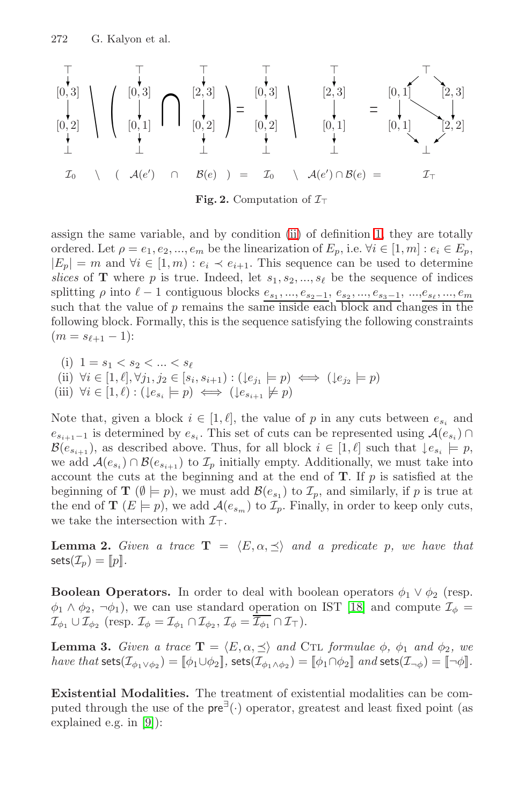<span id="page-9-0"></span>-[0, 3] [0, 2] ⊥ \ ( -[0, 3] [0, 1] ⊥ ∩ -[2, 3] [\[0](#page-4-1), 2] ⊥ ) = -[0, 3] [0, [2\]](#page-3-0) ⊥ \ -[2, 3] [0, 1] ⊥ = -[0, 1] [2, 3] [0, 1] [2, 2] ⊥ I<sup>0</sup> \ ( A(*e*-) ∩ B(*e*))= I<sup>0</sup> \ A(*e*-) ∩ B(*e*) = I

**Fig. 2.** Computation of  $\mathcal{I}_{\top}$ 

assign the same variable, and by condition (ii) of definition 1, they are totally ordered. Let  $\rho = e_1, e_2, ..., e_m$  be the linearization of  $E_p$ , i.e.  $\forall i \in [1, m] : e_i \in E_p$ ,  $|E_p| = m$  and  $\forall i \in [1, m) : e_i \prec e_{i+1}$ . This sequence can be used to determine *slices* of **T** where p is true. Indeed, let  $s_1, s_2, ..., s_\ell$  be the sequence of indices splitting  $\rho$  into  $\ell-1$  contiguous blocks  $e_{s_1},...,e_{s_2-1}, e_{s_2},...,e_{s_3-1},...,e_{s_\ell},...,e_m$ such that the value of  $p$  remains the same inside each block and changes in the following block. Formally, this is the sequence satisfying the following constraints  $(m = s_{\ell+1} - 1):$ 

- (i)  $1 = s_1 < s_2 < ... < s_\ell$ (ii)  $\forall i \in [1, \ell], \forall j_1, j_2 \in [s_i, s_{i+1}) : (\downarrow e_{j_1} \models p) \iff (\downarrow e_{j_2} \models p)$
- (iii)  $\forall i \in [1, \ell): (\downarrow e_{s_i} \models p) \iff (\downarrow e_{s_{i+1}} \not\models p)$

Note that, given a block  $i \in [1, \ell]$ , the value of p in any cuts between  $e_{s_i}$  and  $e_{s_{i+1}-1}$  is determined by  $e_{s_i}$ . This set of cuts can be represented using  $\mathcal{A}(e_{s_i}) \cap$  $\mathcal{B}(e_{s_{i+1}})$ , as described above. Thus, for all block  $i \in [1, \ell]$  such that  $\downarrow e_{s_i} \models p$ , we add  $\mathcal{A}(e_{s_i}) \cap \mathcal{B}(e_{s_{i+1}})$  to  $\mathcal{I}_p$  initially empty. Additionally, we must take into account the cuts at the beginning and at the end of **T**. If p is satisfied at the beginning of **T** ( $\emptyset \models p$ ), we must add  $\mathcal{B}(e_{s_1})$  $\mathcal{B}(e_{s_1})$  $\mathcal{B}(e_{s_1})$  to  $\mathcal{I}_p$ , and similarly, if p is true at the end of **T**  $(E \models p)$ , we add  $\mathcal{A}(e_{s_m})$  to  $\mathcal{I}_p$ . Finally, in order to keep only cuts, we take the intersection with  $\mathcal{I}_{\top}$ .

**Lemma 2.** *Given a trace*  $\mathbf{T} = \langle E, \alpha, \preceq \rangle$  *and a predicate p, we have that*  $\textsf{sets}(\mathcal{I}_p) = [p]$ .

**Boolean Operators.** In order to deal with boolean operators  $\phi_1 \vee \phi_2$  (resp.  $\phi_1 \wedge \phi_2$ ,  $\neg \phi_1$ ), we can use standard operation on IST [18] and compute  $\mathcal{I}_{\phi}$  =  $\mathcal{I}_{\phi_1} \cup \mathcal{I}_{\phi_2}$  (resp.  $\mathcal{I}_{\phi} = \mathcal{I}_{\phi_1} \cap \mathcal{I}_{\phi_2}, \mathcal{I}_{\phi} = \overline{\mathcal{I}_{\phi_1}} \cap \mathcal{I}_{\top}$ ).

**Lemma 3.** *Given a trace*  $\mathbf{T} = \langle E, \alpha, \preceq \rangle$  *and* CTL *formulae*  $\phi$ *,*  $\phi_1$  *and*  $\phi_2$ *, we have that* sets $(\mathcal{I}_{\phi_1 \vee \phi_2}) = [\phi_1 \cup \phi_2]$ *,* sets $(\mathcal{I}_{\phi_1 \wedge \phi_2}) = [\phi_1 \cap \phi_2]$  *and* sets $(\mathcal{I}_{\neg \phi}) = [\neg \phi]$ *.* 

**Existential Modalities.** The treatment of existential modalities can be computed through the use of the  $pre^{\exists}(\cdot)$  operator, greatest and least fixed point (as explained e.g. in [9]):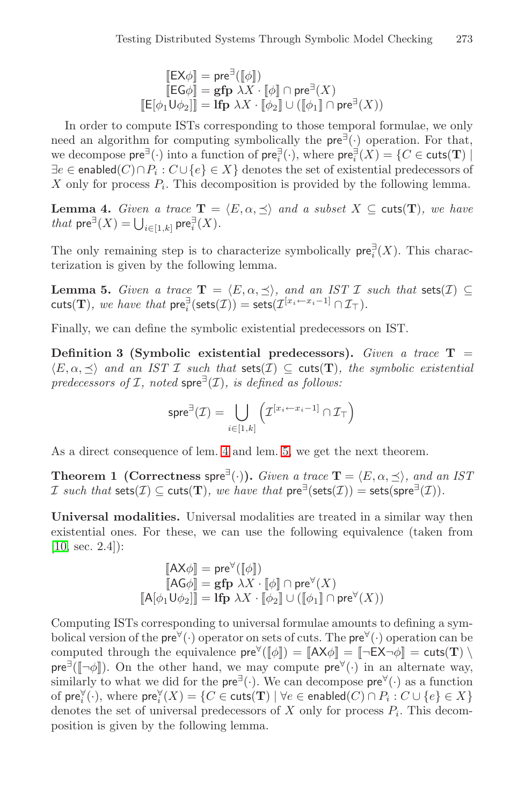$$
\begin{aligned} [\mathsf{EX} \phi] &= \mathsf{pre}^{\exists}([\![\phi]\!]) \\ [\![\mathsf{EG} \phi]\!] &= \mathsf{gfp} \ \lambda X \cdot [\![\phi]\!] \cap \mathsf{pre}^{\exists}(X) \\ [\![\mathsf{E}[\phi_1 \mathsf{U} \phi_2]\!] &= \mathsf{lfp} \ \lambda X \cdot [\![\phi_2]\!] \cup ([\![\phi_1]\!] \cap \mathsf{pre}^{\exists}(X)) \end{aligned}
$$

<span id="page-10-1"></span><span id="page-10-0"></span>In order to compute ISTs corresponding to those temporal formulae, we only need an algorithm for computing symbolically the  $pre^{\exists}(\cdot)$  operation. For that, we decompose  $pre^{\exists}(\cdot)$  into a function of  $pre^{\exists}_{i}(\cdot)$ , where  $pre^{\exists}_{i}(X) = \{C \in \text{cuts}(\mathbf{T}) \mid \mathbf{C} \in \text{cuts}(\mathbf{T})\}$  $\exists e \in \mathsf{enabeled}(C) \cap P_i : C \cup \{e\} \in X \}$  denotes the set of existential predecessors of X only for process  $P_i$ . This decomposition is provided by the following lemma.

**Lemma 4.** *Given a trace*  $\mathbf{T} = \langle E, \alpha, \preceq \rangle$  *and a subset*  $X \subseteq \text{cuts}(\mathbf{T})$ *, we have that*  $\mathsf{pre}^{\exists}(X) = \bigcup_{i \in [1,k]} \mathsf{pre}_i^{\exists}(X)$ *.* 

The only remaining step is to characterize symbolically  $\mathsf{pre}_i^{\exists}(X)$ . This characterization is given by the following lemma.

**Lemma 5.** *Given a trace*  $\mathbf{T} = \langle E, \alpha, \preceq \rangle$ , and an IST I such that sets(I)  $\subseteq$ cuts(**T**)*, we have that*  $pre_i^{\exists}(\textsf{sets}(\mathcal{I})) = \textsf{sets}(\mathcal{I}^{[x_i \leftarrow x_i-1]} \cap \mathcal{I}_{\top}).$ 

Finally, we c[an](#page-10-0) define t[he](#page-10-1) symbolic existential predecessors on IST.

**Definition 3 (Symbolic existential predecessors).** *Given a trace* **T** =  $\langle E, \alpha, \prec \rangle$  and an IST I such that sets(I)  $\subset$  cuts(T), the symbolic existential *predecessors of*  $I$ *, noted* spre<sup> $\exists$ </sup>( $I$ )*, is defined as follows:* 

$$
\mathsf{spre}^{\exists}(\mathcal{I}) = \bigcup_{i \in [1,k]} \left( \mathcal{I}^{[x_i \leftarrow x_i - 1]} \cap \mathcal{I}_{\top} \right)
$$

As a direct consequence of lem. 4 and lem. 5, we get the next theorem.

**Theorem 1 (Correctness spre**<sup> $\exists$ </sup>(·)). *Given a trace*  $\mathbf{T} = \langle E, \alpha, \preceq \rangle$ , and an IST I such that  $\textsf{sets}(\mathcal{I}) \subseteq \textsf{cuts}(\mathbf{T})$ *, we have that*  $\textsf{pre}^{\exists}(\textsf{sets}(\mathcal{I})) = \textsf{sets}(\textsf{spre}^{\exists}(\mathcal{I}))$ *.* 

**Universal modalities.** Universal modalities are treated in a similar way then existential ones. For these, we can use the following equivalence (taken from [10, sec. 2.4]):

[[AXφ]] = pre∀([[φ]]) [[AGφ]] = **gfp** λX · [[φ]] ∩ pre∀(X) [[A[φ1Uφ2]]] = **lfp** λX · [[φ2]] ∪ ([[φ1]] ∩ pre∀(X))

Computing ISTs corresponding to universal formulae amounts to defining a symbolical version of the pre $\forall$  (·) operator on sets of cuts. The pre $\forall$  (·) operation can be computed through the equivalence  $pre^{\forall}([\![\phi]\!]) = [\![AX\phi]\!] = [-EX\neg \phi]\!] = \text{cuts}(\mathbf{T}) \setminus$  $pre^{\exists}(\llbracket \neg \phi \rrbracket)$ . On the other hand, we may compute  $pre^{\forall}(\cdot)$  in an alternate way, similarly to what we did for the  $pre^{\exists}(\cdot)$ . We can decompose  $pre^{\forall}(\cdot)$  as a function of  $\mathsf{pre}_i^{\forall}(\cdot)$ , where  $\mathsf{pre}_i^{\forall}(X) = \{C \in \mathsf{cuts}(\mathbf{T}) \mid \forall e \in \mathsf{enabeled}(C) \cap P_i : C \cup \{e\} \in X\}$ denotes the set of universal predecessors of X only for process  $P_i$ . This decomposition is given by the following lemma.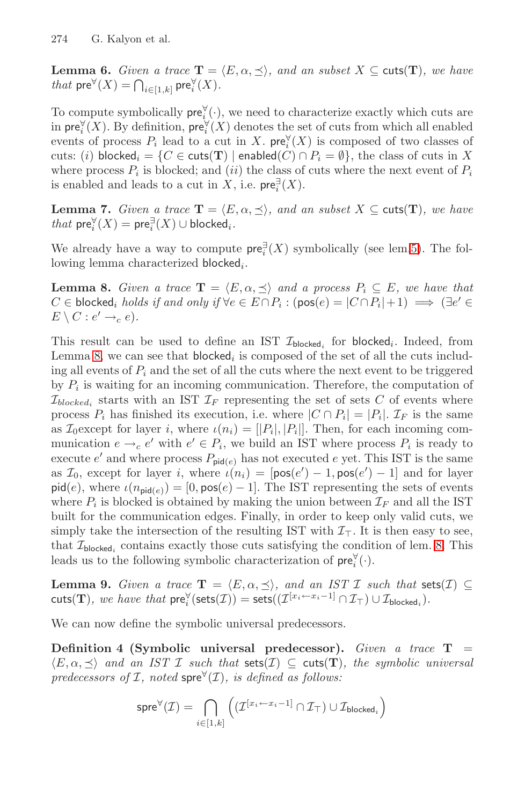**Lemma 6.** *Given a trace*  $\mathbf{T} = \langle E, \alpha, \preceq \rangle$ *, and an subset*  $X \subseteq \text{cuts}(\mathbf{T})$ *, we have that*  $\mathsf{pre}^{\forall}(X) = \bigcap_{i \in [1,k]} \mathsf{pre}_i^{\forall}(X)$ *.* 

<span id="page-11-0"></span>To compute symbolically  $pre_i^{\forall}(\cdot)$ , we need to characterize exactly which cuts are in  $pre_i^{\forall}(X)$ . By definition,  $pre_i^{\forall}(X)$  denotes the set of cuts from which all enabled events of process  $P_i$  $P_i$  lead to a cut in X. pre $\check{Y}(X)$  $\check{Y}(X)$  is composed of two classes of cuts: (i) blocked<sub>i</sub> = {C ∈ cuts(**T**) | enabled(C)  $\cap$  P<sub>i</sub> =  $\emptyset$ }, the class of cuts in X where process  $P_i$  is blocked; and (ii) the class of cuts where the next event of  $P_i$ is enabled and leads to a cut in  $\hat{X}$ , i.e. pre $\overline{P}_i(X)$ .

**Lemma 7.** *Given a trace*  $\mathbf{T} = \langle E, \alpha, \preceq \rangle$ *, and an subset*  $X \subseteq \text{cuts}(\mathbf{T})$ *, we have*  $that \, \mathsf{pre}_i^{\forall}(X) = \mathsf{pre}_i^{\exists}(X) \cup \mathsf{blocked}_i.$ 

We already have a way to compute  $pre_i^{\exists}(X)$  symbolically (see lem.5). The following lemma characterized  $b$ locked<sub>i</sub>.

**Lemma 8.** *Given a trace*  $\mathbf{T} = \langle E, \alpha, \preceq \rangle$  *and a process*  $P_i \subseteq E$ *, we have that*  $C \in \mathsf{blocked}_i$  *holds if and only if*  $\forall e \in E \cap P_i : (\mathsf{pos}(e) = |C \cap P_i| + 1) \implies (\exists e' \in E)$  $E \setminus C : e' \rightarrow_c e$ .

This result can be used to define an IST  $\mathcal{I}_{\text{blocked}}$  for blocked<sub>i</sub>. Indeed, from Lemma 8, we can see that blocked<sub>i</sub> is composed of the set of all the cuts including all events of  $P_i$  and the set of all the cuts where the next event to be triggered by  $P_i$  is waiting for an incoming communication. Therefore, the computation of  $\mathcal{I}_{blocked_i}$  starts with an IST  $\mathcal{I}_F$  representing the set of sets C of events where process  $P_i$  has finished its execution, i.e. where  $|C \cap P_i| = |P_i|$ .  $\mathcal{I}_F$  is the same as  $\mathcal{I}_0$  except for layer i, where  $\iota(n_i)=[|P_i|, |P_i|]$ . Th[en,](#page-11-0) for each incoming communication  $e \rightarrow_c e'$  with  $e' \in P_i$ , we build an IST where process  $P_i$  is ready to execute e' and where process  $P_{\text{pid}(e)}$  has not executed e yet. This IST is the same as  $\mathcal{I}_0$ , except for layer i, where  $\iota(n_i) = [\text{pos}(e') - 1, \text{pos}(e') - 1]$  and for layer  $pid(e)$ , where  $\iota(n_{pid(e)}) = [0, pos(e) - 1]$ . The IST representing the sets of events where  $P_i$  is blocked is obtained by making the union between  $\mathcal{I}_F$  and all the IST built for the communication edges. Finally, in order to keep only valid cuts, we simply take the intersection of the resulting IST with  $\mathcal{I}_{\top}$ . It is then easy to see, that  $\mathcal{I}_{\text{blocked}_i}$  contains exactly those cuts satisfying the condition of lem. 8. This leads us to the following symbolic characterization of  $pre_i^{\forall}(\cdot)$ .

**Lemma 9.** *Given a trace*  $\mathbf{T} = \langle E, \alpha, \preceq \rangle$ , and an IST I such that sets(I)  $\subseteq$ cuts(**T**)*, we have that*  $pre_i^{\forall}(\textsf{sets}(\mathcal{I})) = \textsf{sets}((\mathcal{I}^{[x_i \leftarrow x_i-1]} \cap \mathcal{I}_{\top}) \cup \mathcal{I}_{\textsf{blocked}_i}).$ 

We can now define the symbolic universal predecessors.

**Definition 4 (Symbolic universal predecessor).** *Given a trace* **T** =  $\langle E, \alpha, \preceq \rangle$  and an IST I such that  $\mathsf{sets}(\mathcal{I}) \subseteq \mathsf{cuts}(\mathbf{T})$ , the symbolic universal *predecessors of*  $I$ *, noted* spre $\forall$  $(I)$ *, is defined as follows:* 

$$
\operatorname{spre}^{\forall}(\mathcal{I}) = \bigcap_{i \in [1,k]} \left( (\mathcal{I}^{[x_i \leftarrow x_i-1]} \cap \mathcal{I}_{\top}) \cup \mathcal{I}_{\text{blocked}_i} \right)
$$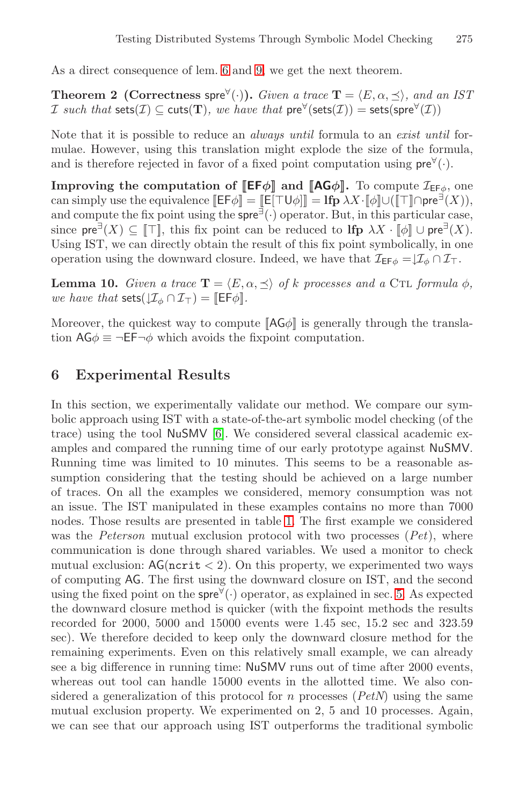As a direct consequence of lem. 6 and 9, we get the next theorem.

**Theorem 2 (Correctness spre**<sup> $\forall$ </sup>(·)). *Given a trace*  $\mathbf{T} = \langle E, \alpha, \preceq \rangle$ , and an IST I such that  $\mathsf{sets}(\mathcal{I}) \subseteq \mathsf{cuts}(\mathbf{T})$ , we have that  $\mathsf{pre}^{\forall}(\mathsf{sets}(\mathcal{I})) = \mathsf{sets}(\mathsf{spre}^{\forall}(\mathcal{I}))$ 

Note that it is possible to reduce an *always until* formula to an *exist until* formulae. However, using this translation might explode the size of the formula, and is therefore rejected in favor of a fixed point computation using  $pre^{\forall}(\cdot)$ .

**Improving the computation of**  $[\mathsf{EF}\phi]$  **and**  $[\mathsf{AG}\phi]$ **.** To compute  $\mathcal{I}_{\mathsf{EF}\phi}$ , one can simply use the equivalence  $[\mathsf{E} \mathsf{F} \phi] = [\mathsf{E} [\top \mathsf{U} \phi]] = \mathsf{lfp} \lambda X \cdot [\![\phi]\!] \cup ([\![\top]\!] \cap \mathsf{pre}^{\exists}(X)),$ and compute the fix point using the  $\mathsf{spre}^{\exists}(\cdot)$  operator. But, in this particular case, since  $\mathsf{pre}^{\exists}(X) \subseteq \mathbb{T}$ , this fix point can be reduced to  $\mathbf{lip} \lambda X \cdot \mathbb{T} \phi \mathbb{I} \cup \mathbf{pre}^{\exists}(X)$ . Using IST, we can directly obtain the result of this fix point symbolically, in one operation using the downward closure. Indeed, we have that  $\mathcal{I}_{EF\phi} = \downarrow \mathcal{I}_{\phi} \cap \mathcal{I}_{\top}$ .

**Lemma 10.** *Given a trace*  $\mathbf{T} = \langle E, \alpha, \preceq \rangle$  *of* k processes and a CTL formula  $\phi$ , *we have that* sets $(\mathcal{I}_{\phi} \cap \mathcal{I}_{\tau}) = \mathbb{E}[\mathsf{F}\phi]$ *.* 

Moreover, t[he](#page-14-10) quickest way to compute  $[A G \phi]$  is generally through the translation  $AG\phi \equiv \neg EF \neg \phi$  which avoids the fixpoint computation.

### **6 Experimental Results**

In this section, we exper[im](#page-13-0)entally validate our method. We compare our symbolic approach using IST with a state-of-the-art symbolic model checking (of the trace) using the tool NuSMV [6]. We considered several classical academic examples and compared the running time of our early prototype against NuSMV. Running time was limited to 10 minutes. This seems to be a reasonable assumption considering that the testing shoul[d b](#page-8-0)e achieved on a large number of traces. On all the examples we considered, memory consumption was not an issue. The IST manipulated in these examples contains no more than 7000 nodes. Those results are presented in table 1. The first example we considered was the *Peterson* mutual exclusion protocol with two processes (*Pet*), where communication is done through shared variables. We used a monitor to check mutual exclusion:  $AG(ncrit < 2)$ . On this property, we experimented two ways of computing AG. The first using the downward closure on IST, and the second using the fixed point on the spre $\forall$  operator, as explained in sec. 5. As expected the downward closure method is quicker (with the fixpoint methods the results recorded for 2000, 5000 and 15000 events were 1.45 sec, 15.2 sec and 323.59 sec). We therefore decided to keep only the downward closure method for the remaining experiments. Even on this relatively small example, we can already see a big difference in running time: NuSMV runs out of time after 2000 events, whereas out tool can handle 15000 events in the allotted time. We also considered a generalization of this protocol for n processes (*PetN*) using the same mutual exclusion property. We experimented on 2, 5 and 10 processes. Again, we can see that our approach using IST outperforms the traditional symbolic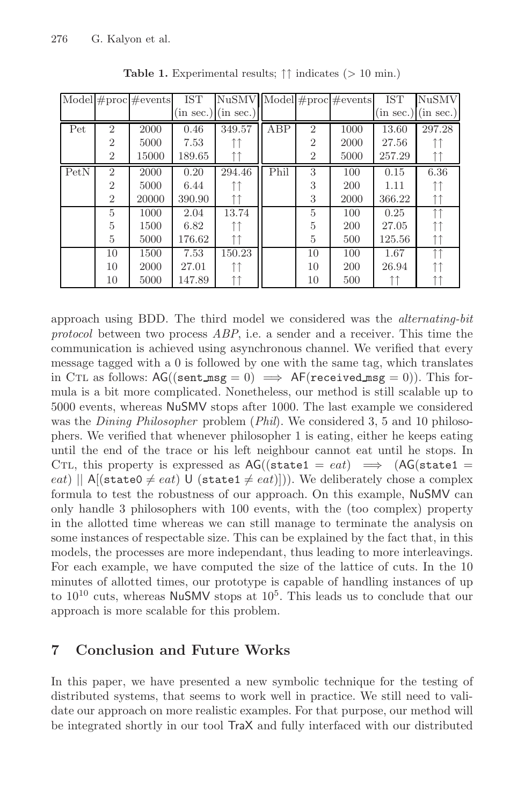<span id="page-13-0"></span>

|      |                | Model $\#$ proc $\#$ events | IST    | <b>NuSMV</b>          |      |                | $\overline{\text{Model}}$ # proc # events | <b>IST</b> | <b>NuSMV</b>            |
|------|----------------|-----------------------------|--------|-----------------------|------|----------------|-------------------------------------------|------------|-------------------------|
|      |                |                             |        | $(in sec.)$ (in sec.) |      |                |                                           |            | $(in sec.)$ $(in sec.)$ |
| Pet  | $\overline{2}$ | 2000                        | 0.46   | 349.57                | ABP  | $\overline{2}$ | 1000                                      | 13.60      | 297.28                  |
|      | $\overline{2}$ | 5000                        | 7.53   |                       |      | $\overline{2}$ | 2000                                      | 27.56      |                         |
|      | $\overline{2}$ | 15000                       | 189.65 |                       |      | $\overline{2}$ | 5000                                      | 257.29     | ↑↑                      |
| PetN | $\overline{2}$ | 2000                        | 0.20   | 294.46                | Phil | 3              | 100                                       | 0.15       | 6.36                    |
|      | $\overline{2}$ | 5000                        | 6.44   |                       |      | 3              | 200                                       | 1.11       |                         |
|      | $\overline{2}$ | 20000                       | 390.90 |                       |      | 3              | 2000                                      | 366.22     |                         |
|      | 5              | 1000                        | 2.04   | 13.74                 |      | 5              | 100                                       | 0.25       | ↑↑                      |
|      | 5              | 1500                        | 6.82   |                       |      | 5              | 200                                       | 27.05      |                         |
|      | 5              | 5000                        | 176.62 | ↑↑                    |      | 5              | 500                                       | 125.56     | ↑↑                      |
|      | 10             | 1500                        | 7.53   | 150.23                |      | 10             | 100                                       | 1.67       | $\uparrow \uparrow$     |
|      | 10             | 2000                        | 27.01  |                       |      | 10             | 200                                       | 26.94      |                         |
|      | 10             | 5000                        | 147.89 |                       |      | 10             | 500                                       |            |                         |

**Table 1.** Experimental results; ↑↑ indicates (*>* 10 min.)

approach using BDD. The third model we considered was the *alternating-bit protocol* between two process *ABP*, i.e. a sender and a receiver. This time the communication is achieved using asynchronous channel. We verified that every message tagged with a 0 is followed by one with the same tag, which translates in CTL as follows:  $AG((sent_msg = 0) \implies AF(received_msg = 0)).$  This formula is a bit more complicated. Nonetheless, our method is still scalable up to 5000 events, whereas NuSMV stops after 1000. The last example we considered was the *Dining Philosopher* problem (*Phil*). We considered 3, 5 and 10 philosophers. We verified that whenever philosopher 1 is eating, either he keeps eating until the end of the trace or his left neighbour cannot eat until he stops. In CTL, this property is expressed as  $AG((state1 = eat) \implies (AG(state1 =$ eat) ||  $A[(state0 \neq eat) \cup (state1 \neq eat)]$ ). We deliberately chose a complex formula to test the robustness of our approach. On this example, NuSMV can only handle 3 philosophers with 100 events, with the (too complex) property in the allotted time whereas we can still manage to terminate the analysis on some instances of respectable size. This can be explained by the fact that, in this models, the processes are more independant, thus leading to more interleavings. For each example, we have computed the size of the lattice of cuts. In the 10 minutes of allotted times, our prototype is capable of handling instances of up to  $10^{10}$  cuts, whereas NuSMV stops at  $10^5$ . This leads us to conclude that our approach is more scalable for this problem.

# **7 Conclusion and Future Works**

In this paper, we have presented a new symbolic technique for the testing of distributed systems, that seems to work well in practice. We still need to validate our approach on more realistic examples. For that purpose, our method will be integrated shortly in our tool TraX and fully interfaced with our distributed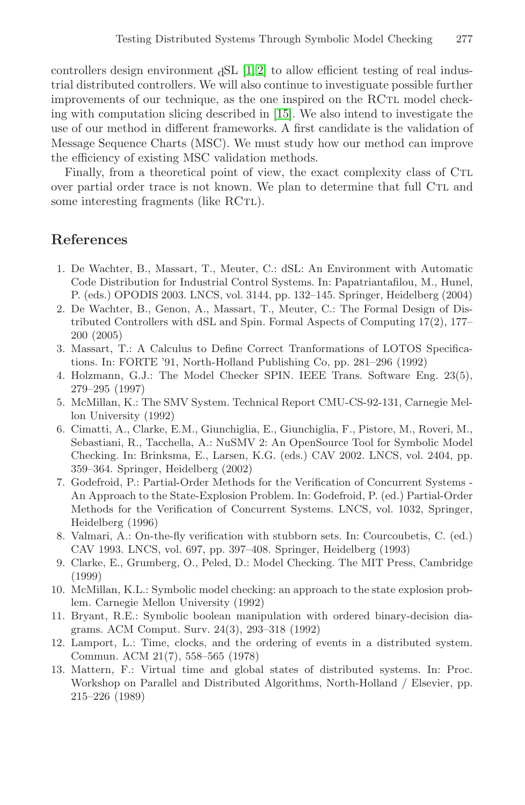controllers design environment  ${}_{d}SL$  [1, 2] to allow efficient testing of real industrial distributed controllers. We will also continue to investiguate possible further improvements of our technique, as the one inspired on the RCTL model checking with computation slicing described in [15]. We also intend to investigate the use of our method in different frameworks. A first candidate is the validation of Message Sequence Charts (MSC). We must study how our method can improve the efficiency of existing MSC validation methods.

<span id="page-14-1"></span><span id="page-14-0"></span>Finally, from a theoretical point of view, the exact complexity class of CTL over partial order trace is not known. We plan to determine that full CTL and some interesting fragments (like RCTL).

### <span id="page-14-2"></span>**References**

- 1. De Wachter, B., Massart, T., Meuter, C.: dSL: An Environment with Automatic Code Distribution for Industrial Control Systems. In: Papatriantafilou, M., Hunel, P. (eds.) OPODIS 2003. LNCS, vol. 3144, pp. 132–145. Springer, Heidelberg (2004)
- <span id="page-14-10"></span>2. De Wachter, B., Genon, A., Massart, T., Meuter, C.: The Formal Design of Distributed Controllers with dSL and Spin. Formal Aspects of Computing 17(2), 177– 200 (2005)
- <span id="page-14-3"></span>3. Massart, T.: A Calculus to Define Correct Tranformations of LOTOS Specifications. In: FORTE '91, North-Holland Publishing Co, pp. 281–296 (1992)
- 4. Holzmann, G.J.: The Model Checker SPIN. IEEE Trans. Software Eng. 23(5), 279–295 (1997)
- <span id="page-14-4"></span>5. McMillan, K.: The SMV System. Technical Report CMU-CS-92-131, Carnegie Mellon University (1992)
- <span id="page-14-5"></span>6. Cimatti, A., Clarke, E.M., Giunchiglia, E., Giunchiglia, F., Pistore, M., Roveri, M., Sebastiani, R., Tacchella, A.: NuSMV 2: An OpenSource Tool for Symbolic Model Checking. In: Brinksma, E., Larsen, K.G. (eds.) CAV 2002. LNCS, vol. 2404, pp. 359–364. Springer, Heidelberg (2002)
- <span id="page-14-7"></span><span id="page-14-6"></span>7. Godefroid, P.: Partial-Order Methods for the Verification of Concurrent Systems - An Approach to the State-Explosion Problem. In: Godefroid, P. (ed.) Partial-Order Methods for the Verification of Concurrent Systems. LNCS, vol. 1032, Springer, Heidelberg (1996)
- <span id="page-14-8"></span>8. Valmari, A.: On-the-fly verification with stubborn sets. In: Courcoubetis, C. (ed.) CAV 1993. LNCS, vol. 697, pp. 397–408. Springer, Heidelberg (1993)
- <span id="page-14-9"></span>9. Clarke, E., Grumberg, O., Peled, D.: Model Checking. The MIT Press, Cambridge (1999)
- 10. McMillan, K.L.: Symbolic model checking: an approach to the state explosion problem. Carnegie Mellon University (1992)
- 11. Bryant, R.E.: Symbolic boolean manipulation with ordered binary-decision diagrams. ACM Comput. Surv. 24(3), 293–318 (1992)
- 12. Lamport, L.: Time, clocks, and the ordering of events in a distributed system. Commun. ACM 21(7), 558–565 (1978)
- 13. Mattern, F.: Virtual time and global states of distributed systems. In: Proc. Workshop on Parallel and Distributed Algorithms, North-Holland / Elsevier, pp. 215–226 (1989)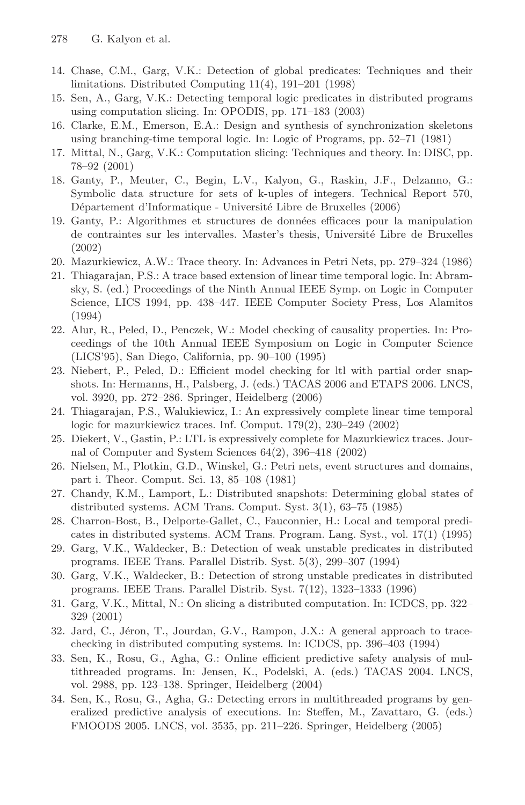- <span id="page-15-8"></span>14. Chase, C.M., Garg, V.K.: Detection of global predicates: Techniques and their limitations. Distributed Computing 11(4), 191–201 (1998)
- <span id="page-15-0"></span>15. Sen, A., Garg, V.K.: Detecting temporal logic predicates in distributed programs using computation slicing. In: OPODIS, pp. 171–183 (2003)
- <span id="page-15-1"></span>16. Clarke, E.M., Emerson, E.A.: Design and synthesis of synchronization skeletons using branching-time temporal logic. In: Logic of Programs, pp. 52–71 (1981)
- <span id="page-15-2"></span>17. Mittal, N., Garg, V.K.: Computation slicing: Techniques and theory. In: DISC, pp. 78–92 (2001)
- <span id="page-15-3"></span>18. Ganty, P., Meuter, C., Begin, L.V., Kalyon, G., Raskin, J.F., Delzanno, G.: Symbolic data structure for sets of k-uples of integers. Technical Report 570, Département d'Informatique - Université Libre de Bruxelles (2006)
- <span id="page-15-4"></span>19. Ganty, P.: Algorithmes et structures de données efficaces pour la manipulation de contraintes sur les intervalles. Master's thesis, Université Libre de Bruxelles (2002)
- <span id="page-15-5"></span>20. Mazurkiewicz, A.W.: Trace theory. In: Advances in Petri Nets, pp. 279–324 (1986)
- 21. Thiagarajan, P.S.: A trace based extension of linear time temporal logic. In: Abramsky, S. (ed.) Proceedings of the Ninth Annual IEEE Symp. on Logic in Computer Science, LICS 1994, pp. 438–447. IEEE Computer Society Press, Los Alamitos (1994)
- <span id="page-15-6"></span>22. Alur, R., Peled, D., Penczek, W.: Model checking of causality properties. In: Proceedings of the 10th Annual IEEE Symposium on Logic in Computer Science (LICS'95), San Diego, California, pp. 90–100 (1995)
- 23. Niebert, P., Peled, D.: Efficient model checking for ltl with partial order snapshots. In: Hermanns, H., Palsberg, J. (eds.) TACAS 2006 and ETAPS 2006. LNCS, vol. 3920, pp. 272–286. Springer, Heidelberg (2006)
- 24. Thiagarajan, P.S., Walukiewicz, I.: An expressively complete linear time temporal logic for mazurkiewicz traces. Inf. Comput. 179(2), 230–249 (2002)
- 25. Diekert, V., Gastin, P.: LTL is expressively complete for Mazurkiewicz traces. Journal of Computer and System Sciences 64(2), 396–418 (2002)
- <span id="page-15-7"></span>26. Nielsen, M., Plotkin, G.D., Winskel, G.: Petri nets, event structures and domains, part i. Theor. Comput. Sci. 13, 85–108 (1981)
- 27. Chandy, K.M., Lamport, L.: Distributed snapshots: Determining global states of distributed systems. ACM Trans. Comput. Syst. 3(1), 63–75 (1985)
- <span id="page-15-9"></span>28. Charron-Bost, B., Delporte-Gallet, C., Fauconnier, H.: Local and temporal predicates in distributed systems. ACM Trans. Program. Lang. Syst., vol. 17(1) (1995)
- <span id="page-15-10"></span>29. Garg, V.K., Waldecker, B.: Detection of weak unstable predicates in distributed programs. IEEE Trans. Parallel Distrib. Syst. 5(3), 299–307 (1994)
- <span id="page-15-11"></span>30. Garg, V.K., Waldecker, B.: Detection of strong unstable predicates in distributed programs. IEEE Trans. Parallel Distrib. Syst. 7(12), 1323–1333 (1996)
- <span id="page-15-12"></span>31. Garg, V.K., Mittal, N.: On slicing a distributed computation. In: ICDCS, pp. 322– 329 (2001)
- <span id="page-15-13"></span>32. Jard, C., Jéron, T., Jourdan, G.V., Rampon, J.X.: A general approach to tracechecking in distributed computing systems. In: ICDCS, pp. 396–403 (1994)
- <span id="page-15-14"></span>33. Sen, K., Rosu, G., Agha, G.: Online efficient predictive safety analysis of multithreaded programs. In: Jensen, K., Podelski, A. (eds.) TACAS 2004. LNCS, vol. 2988, pp. 123–138. Springer, Heidelberg (2004)
- <span id="page-15-15"></span>34. Sen, K., Rosu, G., Agha, G.: Detecting errors in multithreaded programs by generalized predictive analysis of executions. In: Steffen, M., Zavattaro, G. (eds.) FMOODS 2005. LNCS, vol. 3535, pp. 211–226. Springer, Heidelberg (2005)